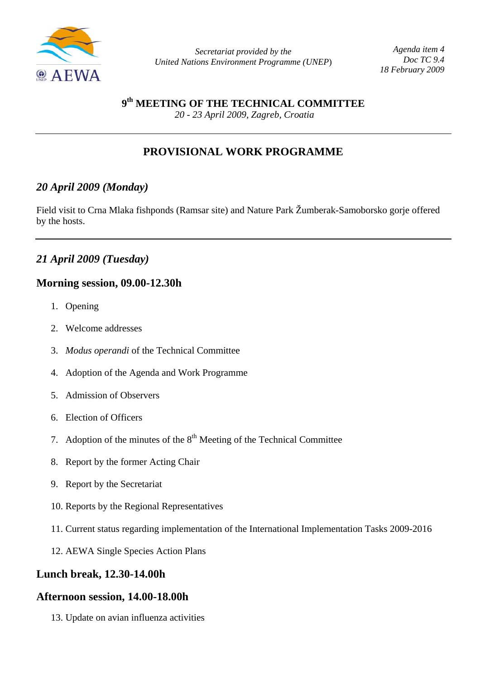

*Agenda item 4 Doc TC 9.4 18 February 2009*

**9th MEETING OF THE TECHNICAL COMMITTEE**

 *20 - 23 April 2009, Zagreb, Croatia* 

# **PROVISIONAL WORK PROGRAMME**

# *20 April 2009 (Monday)*

Field visit to Crna Mlaka fishponds (Ramsar site) and Nature Park Žumberak-Samoborsko gorje offered by the hosts.

# *21 April 2009 (Tuesday)*

## **Morning session, 09.00-12.30h**

- 1. Opening
- 2. Welcome addresses
- 3. *Modus operandi* of the Technical Committee
- 4. Adoption of the Agenda and Work Programme
- 5. Admission of Observers
- 6. Election of Officers
- 7. Adoption of the minutes of the  $8<sup>th</sup>$  Meeting of the Technical Committee
- 8. Report by the former Acting Chair
- 9. Report by the Secretariat
- 10. Reports by the Regional Representatives
- 11. Current status regarding implementation of the International Implementation Tasks 2009-2016
- 12. AEWA Single Species Action Plans

## **Lunch break, 12.30-14.00h**

## **Afternoon session, 14.00-18.00h**

13. Update on avian influenza activities